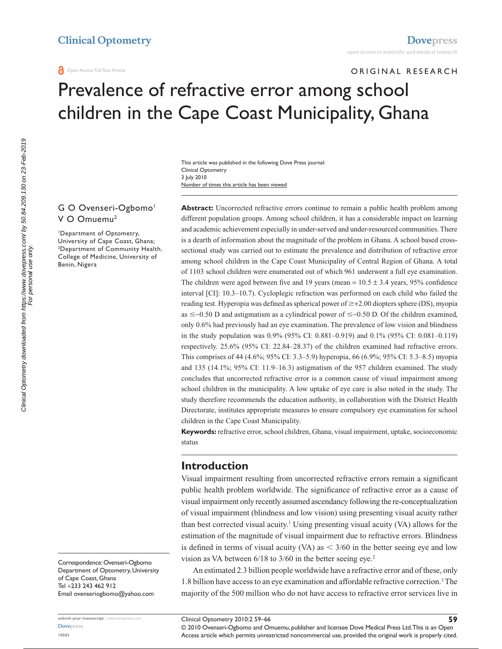## ORIGINAL RESEARCH

# Prevalence of refractive error among school children in the Cape Coast Municipality, Ghana

Number of times this article has been viewed This article was published in the following Dove Press journal: Clinical Optometry 3 July 2010

## G O Ovenseri-Ogbomo<sup>1</sup> V O Omuemu2

1 Department of Optometry, University of Cape Coast, Ghana; 2 Department of Community Health, College of Medicine, University of Benin, Nigera

Abstract: Uncorrected refractive errors continue to remain a public health problem among different population groups. Among school children, it has a considerable impact on learning and academic achievement especially in under-served and under-resourced communities. There is a dearth of information about the magnitude of the problem in Ghana. A school based crosssectional study was carried out to estimate the prevalence and distribution of refractive error among school children in the Cape Coast Municipality of Central Region of Ghana. A total of 1103 school children were enumerated out of which 961 underwent a full eye examination. The children were aged between five and 19 years (mean =  $10.5 \pm 3.4$  years, 95% confidence interval [CI]: 10.3–10.7). Cycloplegic refraction was performed on each child who failed the reading test. Hyperopia was defined as spherical power of  $\geq$ +2.00 diopters sphere (DS), myopia as ≤−0.50 D and astigmatism as a cylindrical power of ≤−0.50 D. Of the children examined, only 0.6% had previously had an eye examination. The prevalence of low vision and blindness in the study population was 0.9% (95% CI: 0.881–0.919) and 0.1% (95% CI: 0.081–0.119) respectively. 25.6% (95% CI: 22.84–28.37) of the children examined had refractive errors. This comprises of 44 (4.6%; 95% CI: 3.3–5.9) hyperopia, 66 (6.9%; 95% CI: 5.3–8.5) myopia and 135 (14.1%; 95% CI: 11.9–16.3) astigmatism of the 957 children examined. The study concludes that uncorrected refractive error is a common cause of visual impairment among school children in the municipality. A low uptake of eye care is also noted in the study. The study therefore recommends the education authority, in collaboration with the District Health Directorate, institutes appropriate measures to ensure compulsory eye examination for school children in the Cape Coast Municipality.

**Keywords:** refractive error, school children, Ghana, visual impairment, uptake, socioeconomic status

## **Introduction**

Visual impairment resulting from uncorrected refractive errors remain a significant public health problem worldwide. The significance of refractive error as a cause of visual impairment only recently assumed ascendancy following the re-conceptualization of visual impairment (blindness and low vision) using presenting visual acuity rather than best corrected visual acuity.<sup>1</sup> Using presenting visual acuity (VA) allows for the estimation of the magnitude of visual impairment due to refractive errors. Blindness is defined in terms of visual acuity (VA) as  $\lt$  3/60 in the better seeing eye and low vision as VA between 6/18 to 3/60 in the better seeing eye.<sup>2</sup>

An estimated 2.3 billion people worldwide have a refractive error and of these, only 1.8 billion have access to an eye examination and affordable refractive correction.<sup>3</sup> The majority of the 500 million who do not have access to refractive error services live in

Correspondence: Ovenseri-Ogbomo Department of Optometry, University of Cape Coast, Ghana Tel +233 243 462 912 Email ovenseriogbomo@yahoo.com

Clinical Optometry 2010:2 59–66

© 2010 Ovenseri-Ogbomo and Omuemu, publisher and licensee Dove Medical Press Ltd. This is an Open Access article which permits unrestricted noncommercial use, provided the original work is properly cited.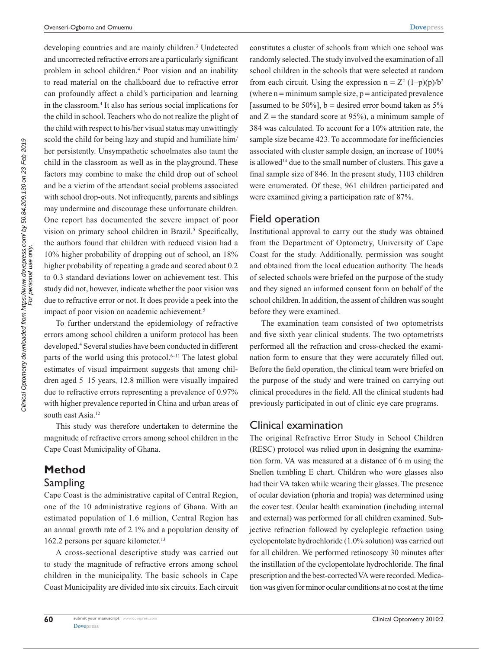developing countries and are mainly children.<sup>3</sup> Undetected and uncorrected refractive errors are a particularly significant problem in school children.<sup>4</sup> Poor vision and an inability to read material on the chalkboard due to refractive error can profoundly affect a child's participation and learning in the classroom.4 It also has serious social implications for the child in school. Teachers who do not realize the plight of the child with respect to his/her visual status may unwittingly scold the child for being lazy and stupid and humiliate him/ her persistently. Unsympathetic schoolmates also taunt the child in the classroom as well as in the playground. These factors may combine to make the child drop out of school and be a victim of the attendant social problems associated with school drop-outs. Not infrequently, parents and siblings may undermine and discourage these unfortunate children. One report has documented the severe impact of poor vision on primary school children in Brazil.<sup>5</sup> Specifically, the authors found that children with reduced vision had a 10% higher probability of dropping out of school, an 18% higher probability of repeating a grade and scored about 0.2 to 0.3 standard deviations lower on achievement test. This study did not, however, indicate whether the poor vision was due to refractive error or not. It does provide a peek into the impact of poor vision on academic achievement.<sup>5</sup>

To further understand the epidemiology of refractive errors among school children a uniform protocol has been developed.4 Several studies have been conducted in different parts of the world using this protocol. $6-11$  The latest global estimates of visual impairment suggests that among children aged 5–15 years, 12.8 million were visually impaired due to refractive errors representing a prevalence of 0.97% with higher prevalence reported in China and urban areas of south east Asia.<sup>12</sup>

This study was therefore undertaken to determine the magnitude of refractive errors among school children in the Cape Coast Municipality of Ghana.

## **Method**

#### Sampling

**60**

Cape Coast is the administrative capital of Central Region, one of the 10 administrative regions of Ghana. With an estimated population of 1.6 million, Central Region has an annual growth rate of 2.1% and a population density of 162.2 persons per square kilometer.<sup>13</sup>

A cross-sectional descriptive study was carried out to study the magnitude of refractive errors among school children in the municipality. The basic schools in Cape Coast Municipality are divided into six circuits. Each circuit constitutes a cluster of schools from which one school was randomly selected. The study involved the examination of all school children in the schools that were selected at random from each circuit. Using the expression  $n = Z^2 (1-p)(p)/b^2$ (where  $n =$  minimum sample size,  $p =$  anticipated prevalence [assumed to be 50%],  $b =$  desired error bound taken as 5% and  $Z =$  the standard score at 95%), a minimum sample of 384 was calculated. To account for a 10% attrition rate, the sample size became 423. To accommodate for inefficiencies associated with cluster sample design, an increase of 100% is allowed<sup>14</sup> due to the small number of clusters. This gave a final sample size of 846. In the present study, 1103 children were enumerated. Of these, 961 children participated and were examined giving a participation rate of 87%.

#### Field operation

Institutional approval to carry out the study was obtained from the Department of Optometry, University of Cape Coast for the study. Additionally, permission was sought and obtained from the local education authority. The heads of selected schools were briefed on the purpose of the study and they signed an informed consent form on behalf of the school children. In addition, the assent of children was sought before they were examined.

The examination team consisted of two optometrists and five sixth year clinical students. The two optometrists performed all the refraction and cross-checked the examination form to ensure that they were accurately filled out. Before the field operation, the clinical team were briefed on the purpose of the study and were trained on carrying out clinical procedures in the field. All the clinical students had previously participated in out of clinic eye care programs.

### Clinical examination

The original Refractive Error Study in School Children (RESC) protocol was relied upon in designing the examination form. VA was measured at a distance of 6 m using the Snellen tumbling E chart. Children who wore glasses also had their VA taken while wearing their glasses. The presence of ocular deviation (phoria and tropia) was determined using the cover test. Ocular health examination (including internal and external) was performed for all children examined. Subjective refraction followed by cycloplegic refraction using cyclopentolate hydrochloride (1.0% solution) was carried out for all children. We performed retinoscopy 30 minutes after the instillation of the cyclopentolate hydrochloride. The final prescription and the best-corrected VA were recorded. Medication was given for minor ocular conditions at no cost at the time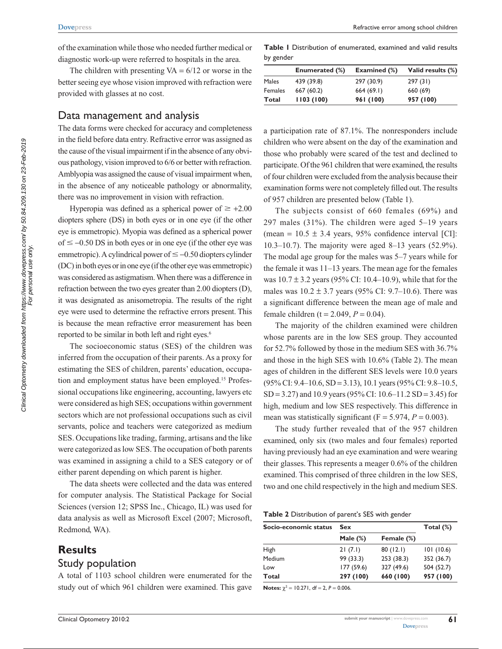of the examination while those who needed further medical or diagnostic work-up were referred to hospitals in the area.

The children with presenting  $VA = 6/12$  or worse in the better seeing eye whose vision improved with refraction were provided with glasses at no cost.

#### Data management and analysis

The data forms were checked for accuracy and completeness in the field before data entry. Refractive error was assigned as the cause of the visual impairment if in the absence of any obvious pathology, vision improved to 6/6 or better with refraction. Amblyopia was assigned the cause of visual impairment when, in the absence of any noticeable pathology or abnormality, there was no improvement in vision with refraction.

Hyperopia was defined as a spherical power of  $\geq +2.00$ diopters sphere (DS) in both eyes or in one eye (if the other eye is emmetropic). Myopia was defined as a spherical power of  $\le$  −0.50 DS in both eyes or in one eye (if the other eye was emmetropic). A cylindrical power of  $\leq -0.50$  diopters cylinder (DC) in both eyes or in one eye (if the other eye was emmetropic) was considered as astigmatism. When there was a difference in refraction between the two eyes greater than 2.00 diopters (D), it was designated as anisometropia. The results of the right eye were used to determine the refractive errors present. This is because the mean refractive error measurement has been reported to be similar in both left and right eyes.<sup>6</sup>

The socioeconomic status (SES) of the children was inferred from the occupation of their parents. As a proxy for estimating the SES of children, parents' education, occupation and employment status have been employed.15 Professional occupations like engineering, accounting, lawyers etc were considered as high SES; occupations within government sectors which are not professional occupations such as civil servants, police and teachers were categorized as medium SES. Occupations like trading, farming, artisans and the like were categorized as low SES. The occupation of both parents was examined in assigning a child to a SES category or of either parent depending on which parent is higher.

The data sheets were collected and the data was entered for computer analysis. The Statistical Package for Social Sciences (version 12; SPSS Inc., Chicago, IL) was used for data analysis as well as Microsoft Excel (2007; Microsoft, Redmond, WA).

## **Results** Study population

A total of 1103 school children were enumerated for the study out of which 961 children were examined. This gave

**Table 1** Distribution of enumerated, examined and valid results by gender

|              | <b>Enumerated (%)</b> | <b>Examined</b> (%) | Valid results (%) |
|--------------|-----------------------|---------------------|-------------------|
| Males        | 439 (39.8)            | 297 (30.9)          | 297(31)           |
| Females      | 667 (60.2)            | 664(69.1)           | 660 (69)          |
| <b>Total</b> | 1103(100)             | 961 (100)           | 957 (100)         |

a participation rate of 87.1%. The nonresponders include children who were absent on the day of the examination and those who probably were scared of the test and declined to participate. Of the 961 children that were examined, the results of four children were excluded from the analysis because their examination forms were not completely filled out. The results of 957 children are presented below (Table 1).

The subjects consist of 660 females (69%) and 297 males (31%). The children were aged 5–19 years (mean =  $10.5 \pm 3.4$  years, 95% confidence interval [CI]: 10.3–10.7). The majority were aged 8–13 years (52.9%). The modal age group for the males was 5–7 years while for the female it was 11–13 years. The mean age for the females was 10.7 ± 3.2 years (95% CI: 10.4–10.9), while that for the males was  $10.2 \pm 3.7$  years (95% CI: 9.7–10.6). There was a significant difference between the mean age of male and female children ( $t = 2.049$ ,  $P = 0.04$ ).

The majority of the children examined were children whose parents are in the low SES group. They accounted for 52.7% followed by those in the medium SES with 36.7% and those in the high SES with 10.6% (Table 2). The mean ages of children in the different SES levels were 10.0 years (95% CI: 9.4–10.6, SD = 3.13), 10.1 years (95% CI: 9.8–10.5, SD = 3.27) and 10.9 years (95% CI: 10.6–11.2 SD = 3.45) for high, medium and low SES respectively. This difference in mean was statistically significant  $(F = 5.974, P = 0.003)$ .

The study further revealed that of the 957 children examined, only six (two males and four females) reported having previously had an eye examination and were wearing their glasses. This represents a meager 0.6% of the children examined. This comprised of three children in the low SES, two and one child respectively in the high and medium SES.

**Table 2** Distribution of parent's SES with gender

| Socio-economic status | <b>Sex</b>  | Total $(\%)$ |            |
|-----------------------|-------------|--------------|------------|
|                       | Male $(\%)$ | Female (%)   |            |
| High                  | 21(7.1)     | 80(12.1)     | 101(10.6)  |
| Medium                | 99 (33.3)   | 253(38.3)    | 352 (36.7) |
| Low                   | 177 (59.6)  | 327 (49.6)   | 504 (52.7) |
| Total                 | 297 (100)   | 660 (100)    | 957 (100)  |

**Notes:**  $\chi^2 = 10.271$ , df = 2, P = 0.006.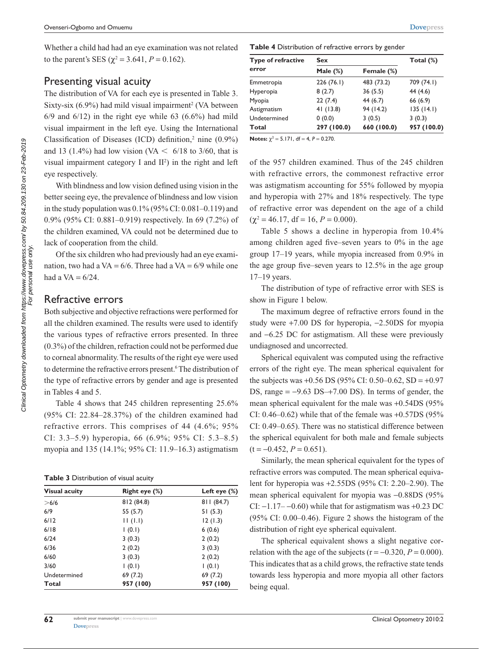Whether a child had had an eye examination was not related to the parent's SES ( $\chi^2 = 3.641$ ,  $P = 0.162$ ).

## Presenting visual acuity

The distribution of VA for each eye is presented in Table 3. Sixty-six  $(6.9\%)$  had mild visual impairment<sup>2</sup> (VA between  $6/9$  and  $6/12$ ) in the right eye while  $63$   $(6.6\%)$  had mild visual impairment in the left eye. Using the International Classification of Diseases (ICD) definition,<sup>2</sup> nine  $(0.9\%)$ and 13 (1.4%) had low vision (VA  $<$  6/18 to 3/60, that is visual impairment category I and II2 ) in the right and left eye respectively.

With blindness and low vision defined using vision in the better seeing eye, the prevalence of blindness and low vision in the study population was 0.1% (95% CI: 0.081–0.119) and 0.9% (95% CI: 0.881–0.919) respectively. In 69 (7.2%) of the children examined, VA could not be determined due to lack of cooperation from the child.

Of the six children who had previously had an eye examination, two had a VA =  $6/6$ . Three had a VA =  $6/9$  while one had a  $VA = 6/24$ .

#### Refractive errors

Clinical Optometry downloaded from https://www.dovepress.com/ by 50.84.209.130 on 23-Feb-2019<br>For personal use only. Clinical Optometry downloaded from https://www.dovepress.com/ by 50.84.209.130 on 23-Feb-2019 For personal use only.

Both subjective and objective refractions were performed for all the children examined. The results were used to identify the various types of refractive errors presented. In three (0.3%) of the children, refraction could not be performed due to corneal abnormality. The results of the right eye were used to determine the refractive errors present.<sup>6</sup> The distribution of the type of refractive errors by gender and age is presented in Tables 4 and 5.

Table 4 shows that 245 children representing 25.6% (95% CI: 22.84–28.37%) of the children examined had refractive errors. This comprises of 44 (4.6%; 95% CI: 3.3–5.9) hyperopia, 66 (6.9%; 95% CI: 5.3–8.5) myopia and 135 (14.1%; 95% CI: 11.9–16.3) astigmatism

|  |  |  | Table 3 Distribution of visual acuity |  |  |  |
|--|--|--|---------------------------------------|--|--|--|
|--|--|--|---------------------------------------|--|--|--|

| <b>Visual acuity</b> | Right eye (%) | Left eye (%) |
|----------------------|---------------|--------------|
| >6/6                 | 812 (84.8)    | 811 (84.7)   |
| 6/9                  | 55 (5.7)      | 51(5.3)      |
| 6/12                 | 11(1.1)       | 12(1.3)      |
| 6/18                 | (0.1)         | 6(0.6)       |
| 6/24                 | 3(0.3)        | 2(0.2)       |
| 6/36                 | 2(0.2)        | 3(0.3)       |
| 6/60                 | 3(0.3)        | 2(0.2)       |
| 3/60                 | (0.1)         | (0.1)        |
| Undetermined         | 69(7.2)       | 69(7.2)      |
| <b>Total</b>         | 957 (100)     | 957 (100)    |

**Table 4** Distribution of refractive errors by gender

| Type of refractive | <b>Sex</b>  | Total $(\%)$ |             |  |
|--------------------|-------------|--------------|-------------|--|
| error              | Male $(\%)$ | Female (%)   |             |  |
| Emmetropia         | 226(76.1)   | 483 (73.2)   | 709 (74.1)  |  |
| Hyperopia          | 8(2.7)      | 36(5.5)      | 44 (4.6)    |  |
| Myopia             | 22(7.4)     | 44 (6.7)     | 66 (6.9)    |  |
| Astigmatism        | 41(13.8)    | 94 (14.2)    | 135(14.1)   |  |
| Undetermined       | 0(0.0)      | 3(0.5)       | 3(0.3)      |  |
| <b>Total</b>       | 297 (100.0) | 660 (100.0)  | 957 (100.0) |  |

**Notes:**  $\chi^2 = 5.171$ , df = 4, P = 0.270.

of the 957 children examined. Thus of the 245 children with refractive errors, the commonest refractive error was astigmatism accounting for 55% followed by myopia and hyperopia with 27% and 18% respectively. The type of refractive error was dependent on the age of a child  $(\chi^2 = 46.17, df = 16, P = 0.000).$ 

Table 5 shows a decline in hyperopia from 10.4% among children aged five–seven years to 0% in the age group 17–19 years, while myopia increased from 0.9% in the age group five–seven years to 12.5% in the age group 17–19 years.

The distribution of type of refractive error with SES is show in figure 1 below.

The maximum degree of refractive errors found in the study were +7.00 DS for hyperopia, −2.50DS for myopia and −6.25 DC for astigmatism. All these were previously undiagnosed and uncorrected.

Spherical equivalent was computed using the refractive errors of the right eye. The mean spherical equivalent for the subjects was  $+0.56$  DS (95% CI: 0.50–0.62, SD =  $+0.97$ ) DS, range  $= -9.63$  DS–+7.00 DS). In terms of gender, the mean spherical equivalent for the male was +0.54DS (95% CI:  $0.46-0.62$ ) while that of the female was  $+0.57DS(95%$ CI: 0.49–0.65). There was no statistical difference between the spherical equivalent for both male and female subjects  $(t = -0.452, P = 0.651)$ .

Similarly, the mean spherical equivalent for the types of refractive errors was computed. The mean spherical equivalent for hyperopia was +2.55DS (95% CI: 2.20–2.90). The mean spherical equivalent for myopia was −0.88DS (95% CI:  $-1.17-$  -0.60) while that for astigmatism was +0.23 DC (95% CI: 0.00–0.46). Figure 2 shows the histogram of the distribution of right eye spherical equivalent.

The spherical equivalent shows a slight negative correlation with the age of the subjects ( $r = -0.320$ ,  $P = 0.000$ ). This indicates that as a child grows, the refractive state tends towards less hyperopia and more myopia all other factors being equal.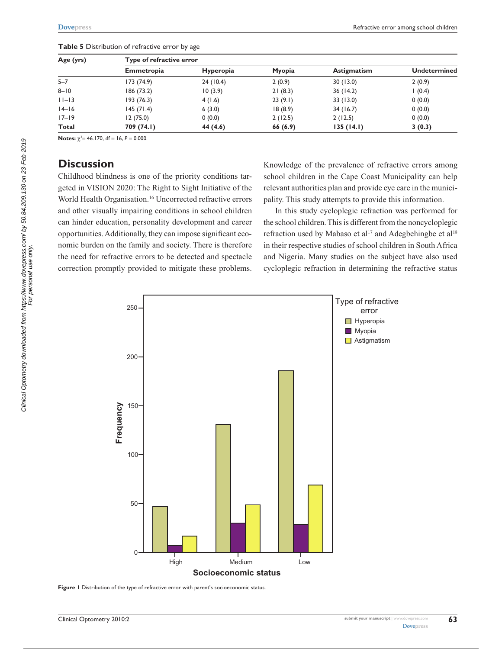| Age (yrs)    | Type of refractive error |                  |          |             |                     |  |  |
|--------------|--------------------------|------------------|----------|-------------|---------------------|--|--|
|              | <b>Emmetropia</b>        | <b>Hyperopia</b> | Myopia   | Astigmatism | <b>Undetermined</b> |  |  |
| $5 - 7$      | 173 (74.9)               | 24(10.4)         | 2(0.9)   | 30(13.0)    | 2(0.9)              |  |  |
| $8 - 10$     | 186 (73.2)               | 10(3.9)          | 21(8.3)  | 36(14.2)    | (0.4)               |  |  |
| $ 1 - 3 $    | 193 (76.3)               | 4(1.6)           | 23(9.1)  | 33(13.0)    | 0(0.0)              |  |  |
| $14 - 16$    | 145(71.4)                | 6(3.0)           | 18(8.9)  | 34(16.7)    | 0(0.0)              |  |  |
| $17 - 19$    | 12(75.0)                 | 0(0.0)           | 2(12.5)  | 2(12.5)     | 0(0.0)              |  |  |
| <b>Total</b> | 709 (74.1)               | 44 (4.6)         | 66 (6.9) | 135(14.1)   | 3(0.3)              |  |  |

**Table 5** Distribution of refractive error by age

**Notes:**  $\chi^2$  = 46.170, df = 16, P = 0.000.

#### **Discussion**

Childhood blindness is one of the priority conditions targeted in VISION 2020: The Right to Sight Initiative of the World Health Organisation.16 Uncorrected refractive errors and other visually impairing conditions in school children can hinder education, personality development and career opportunities. Additionally, they can impose significant economic burden on the family and society. There is therefore the need for refractive errors to be detected and spectacle correction promptly provided to mitigate these problems.

Knowledge of the prevalence of refractive errors among school children in the Cape Coast Municipality can help relevant authorities plan and provide eye care in the municipality. This study attempts to provide this information.

In this study cycloplegic refraction was performed for the school children. This is different from the noncycloplegic refraction used by Mabaso et al<sup>17</sup> and Adegbehingbe et al<sup>18</sup> in their respective studies of school children in South Africa and Nigeria. Many studies on the subject have also used cycloplegic refraction in determining the refractive status



Figure 1 Distribution of the type of refractive error with parent's socioeconomic status.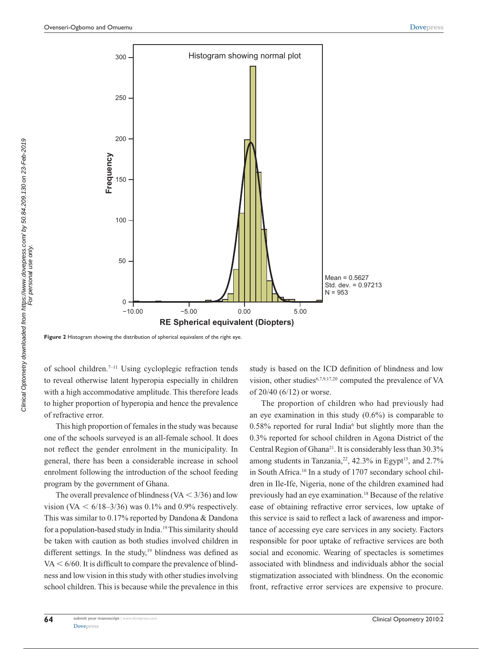

**Figure 2** Histogram showing the distribution of spherical equivalent of the right eye.

of school children.7–11 Using cycloplegic refraction tends to reveal otherwise latent hyperopia especially in children with a high accommodative amplitude. This therefore leads to higher proportion of hyperopia and hence the prevalence of refractive error.

This high proportion of females in the study was because one of the schools surveyed is an all-female school. It does not reflect the gender enrolment in the municipality. In general, there has been a considerable increase in school enrolment following the introduction of the school feeding program by the government of Ghana.

The overall prevalence of blindness ( $VA < 3/36$ ) and low vision (VA  $<$  6/18–3/36) was 0.1% and 0.9% respectively. This was similar to 0.17% reported by Dandona & Dandona for a population-based study in India.19 This similarity should be taken with caution as both studies involved children in different settings. In the study, $19$  blindness was defined as  $VA < 6/60$ . It is difficult to compare the prevalence of blindness and low vision in this study with other studies involving school children. This is because while the prevalence in this

study is based on the ICD definition of blindness and low vision, other studies $6,7,9,17,20$  computed the prevalence of VA of 20/40 (6/12) or worse.

The proportion of children who had previously had an eye examination in this study (0.6%) is comparable to  $0.58\%$  reported for rural India<sup>6</sup> but slightly more than the 0.3% reported for school children in Agona District of the Central Region of Ghana<sup>21</sup>. It is considerably less than 30.3% among students in Tanzania,<sup>22</sup>, 42.3% in Egypt<sup>15</sup>, and 2.7% in South Africa.10 In a study of 1707 secondary school children in Ile-Ife, Nigeria, none of the children examined had previously had an eye examination.18 Because of the relative ease of obtaining refractive error services, low uptake of this service is said to reflect a lack of awareness and importance of accessing eye care services in any society. Factors responsible for poor uptake of refractive services are both social and economic. Wearing of spectacles is sometimes associated with blindness and individuals abhor the social stigmatization associated with blindness. On the economic front, refractive error services are expensive to procure.

**64**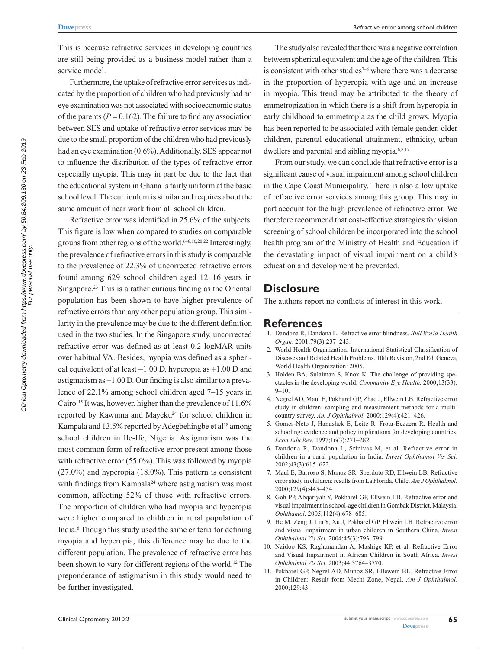This is because refractive services in developing countries are still being provided as a business model rather than a service model.

Furthermore, the uptake of refractive error services as indicated by the proportion of children who had previously had an eye examination was not associated with socioeconomic status of the parents  $(P = 0.162)$ . The failure to find any association between SES and uptake of refractive error services may be due to the small proportion of the children who had previously had an eye examination (0.6%). Additionally, SES appear not to influence the distribution of the types of refractive error especially myopia. This may in part be due to the fact that the educational system in Ghana is fairly uniform at the basic school level. The curriculum is similar and requires about the same amount of near work from all school children.

Refractive error was identified in 25.6% of the subjects. This figure is low when compared to studies on comparable groups from other regions of the world.<sup>6–8,10,20,22</sup> Interestingly, the prevalence of refractive errors in this study is comparable to the prevalence of 22.3% of uncorrected refractive errors found among 629 school children aged 12–16 years in Singapore.<sup>23</sup> This is a rather curious finding as the Oriental population has been shown to have higher prevalence of refractive errors than any other population group. This similarity in the prevalence may be due to the different definition used in the two studies. In the Singapore study, uncorrected refractive error was defined as at least 0.2 logMAR units over habitual VA. Besides, myopia was defined as a spherical equivalent of at least −1.00 D, hyperopia as +1.00 D and astigmatism as −1.00 D. Our finding is also similar to a prevalence of 22.1% among school children aged 7–15 years in Cairo.15 It was, however, higher than the prevalence of 11.6% reported by Kawuma and Mayeku<sup>24</sup> for school children in Kampala and 13.5% reported by Adegbehingbe et al<sup>18</sup> among school children in Ile-Ife, Nigeria. Astigmatism was the most common form of refractive error present among those with refractive error (55.0%). This was followed by myopia (27.0%) and hyperopia (18.0%). This pattern is consistent with findings from Kampala<sup>24</sup> where astigmatism was most common, affecting 52% of those with refractive errors. The proportion of children who had myopia and hyperopia were higher compared to children in rural population of India.6 Though this study used the same criteria for defining myopia and hyperopia, this difference may be due to the different population. The prevalence of refractive error has been shown to vary for different regions of the world.12 The preponderance of astigmatism in this study would need to be further investigated.

The study also revealed that there was a negative correlation between spherical equivalent and the age of the children. This is consistent with other studies<sup> $7-8$ </sup> where there was a decrease in the proportion of hyperopia with age and an increase in myopia. This trend may be attributed to the theory of emmetropization in which there is a shift from hyperopia in early childhood to emmetropia as the child grows. Myopia has been reported to be associated with female gender, older children, parental educational attainment, ethnicity, urban dwellers and parental and sibling myopia.<sup>6,8,17</sup>

From our study, we can conclude that refractive error is a significant cause of visual impairment among school children in the Cape Coast Municipality. There is also a low uptake of refractive error services among this group. This may in part account for the high prevalence of refractive error. We therefore recommend that cost-effective strategies for vision screening of school children be incorporated into the school health program of the Ministry of Health and Education if the devastating impact of visual impairment on a child's education and development be prevented.

## **Disclosure**

The authors report no conflicts of interest in this work.

#### **References**

- 1. Dandona R, Dandona L. Refractive error blindness. *Bull World Health Organ*. 2001;79(3):237–243.
- 2. World Health Organization. International Statistical Classification of Diseases and Related Health Problems. 10th Revision, 2nd Ed. Geneva, World Health Organization: 2005.
- 3. Holden BA, Sulaiman S, Knox K. The challenge of providing spectacles in the developing world. *Community Eye Health.* 2000;13(33):  $9 - 10.$
- 4. Negrel AD, Maul E, Pokharel GP, Zhao J, Ellwein LB. Refractive error study in children: sampling and measurement methods for a multicountry survey. *Am J Ophthalmol*. 2000;129(4):421–426.
- 5. Gomes-Neto J, Hanushek E, Leite R, Frota-Bezzera R. Health and schooling: evidence and policy implications for developing countries. *Econ Edu Rev*. 1997;16(3):271–282.
- 6. Dandona R, Dandona L, Srinivas M, et al. Refractive error in children in a rural population in India. *Invest Ophthamol Vis Sci*. 2002;43(3):615–622.
- 7. Maul E, Barroso S, Munoz SR, Sperduto RD, Ellwein LB. Refractive error study in children: results from La Florida, Chile. *Am J Ophthalmol*. 2000;129(4):445–454.
- 8. Goh PP, Abqariyah Y, Pokharel GP, Ellwein LB. Refractive error and visual impairment in school-age children in Gombak District, Malaysia. *Ophthamol*. 2005;112(4):678–685.
- 9. He M, Zeng J, Liu Y, Xu J, Pokharel GP, Ellwein LB. Refractive error and visual impairment in urban children in Southern China. *Invest Ophthalmol Vis Sci.* 2004;45(3):793–799.
- 10. Naidoo KS, Raghunandan A, Mashige KP, et al. Refractive Error and Visual Impairment in African Children in South Africa. *Invest Ophthalmol Vis Sci*. 2003;44:3764–3770.
- 11. Pokharel GP, Negrel AD, Munoz SR, Ellewein BL. Refractive Error in Children: Result form Mechi Zone, Nepal. *Am J Ophthalmol*. 2000;129:43.